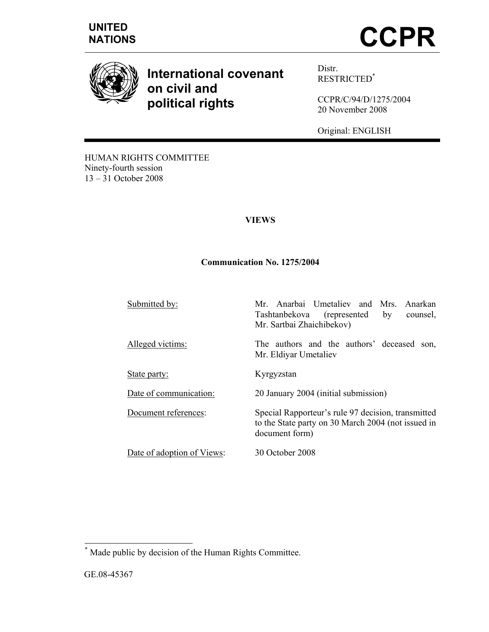





**International covenant on civil and political rights** 

Distr. RESTRICTED\*

CCPR/C/94/D/1275/2004 20 November 2008

Original: ENGLISH

Tashtanbekova (represented by counsel,

to the State party on 30 March 2004 (not issued in

HUMAN RIGHTS COMMITTEE Ninety-fourth session 13 – 31 October 2008

## **VIEWS**

#### **Communication No. 1275/2004**

Submitted by: Mr. Anarbai Umetaliev and Mrs. Anarkan

Alleged victims: The authors and the authors' deceased son,

State party: Kyrgyzstan

Date of communication: 20 January 2004 (initial submission)

Document references: Special Rapporteur's rule 97 decision, transmitted

Date of adoption of Views: 30 October 2008

document form)

Mr. Sartbai Zhaichibekov)

Mr. Eldiyar Umetaliev

 \* Made public by decision of the Human Rights Committee.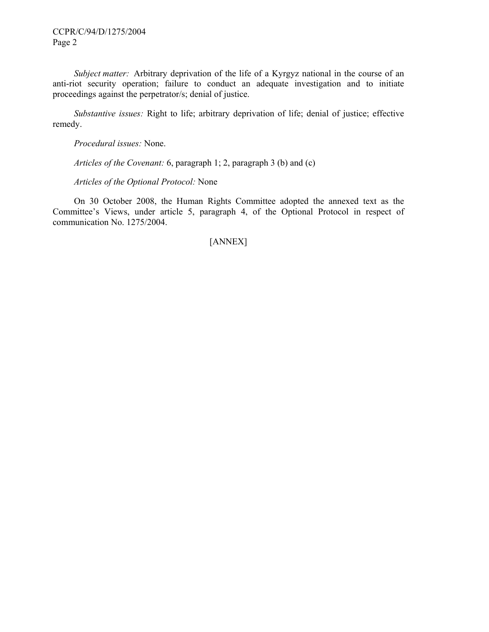CCPR/C/94/D/1275/2004 Page 2

 *Subject matter:* Arbitrary deprivation of the life of a Kyrgyz national in the course of an anti-riot security operation; failure to conduct an adequate investigation and to initiate proceedings against the perpetrator/s; denial of justice.

 *Substantive issues:* Right to life; arbitrary deprivation of life; denial of justice; effective remedy.

 *Procedural issues:* None.

 *Articles of the Covenant:* 6, paragraph 1; 2, paragraph 3 (b) and (c)

 *Articles of the Optional Protocol:* None

 On 30 October 2008, the Human Rights Committee adopted the annexed text as the Committee's Views, under article 5, paragraph 4, of the Optional Protocol in respect of communication No. 1275/2004.

# [ANNEX]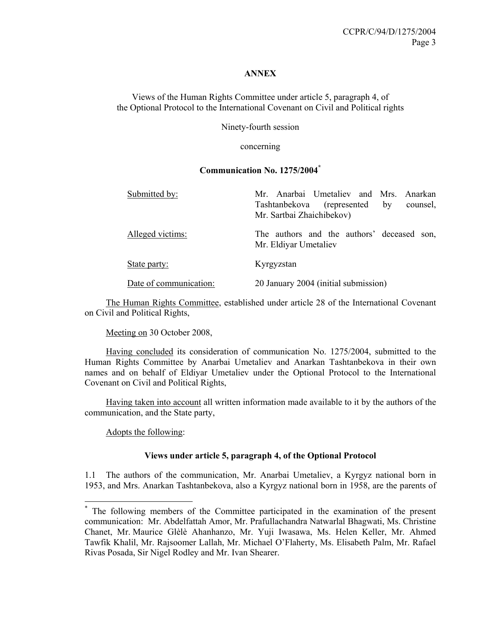#### **ANNEX**

Views of the Human Rights Committee under article 5, paragraph 4, of the Optional Protocol to the International Covenant on Civil and Political rights

Ninety-fourth session

concerning

#### **Communication No. 1275/2004\***

| Submitted by:          | Mr. Anarbai Umetaliev and Mrs. Anarkan<br>Tashtanbekova (represented<br>by<br>counsel,<br>Mr. Sartbai Zhaichibekov) |
|------------------------|---------------------------------------------------------------------------------------------------------------------|
| Alleged victims:       | The authors and the authors' deceased son,<br>Mr. Eldiyar Umetaliev                                                 |
| State party:           | Kyrgyzstan                                                                                                          |
| Date of communication: | 20 January 2004 (initial submission)                                                                                |

 The Human Rights Committee, established under article 28 of the International Covenant on Civil and Political Rights,

Meeting on 30 October 2008,

 Having concluded its consideration of communication No. 1275/2004, submitted to the Human Rights Committee by Anarbai Umetaliev and Anarkan Tashtanbekova in their own names and on behalf of Eldiyar Umetaliev under the Optional Protocol to the International Covenant on Civil and Political Rights,

 Having taken into account all written information made available to it by the authors of the communication, and the State party,

Adopts the following:

#### **Views under article 5, paragraph 4, of the Optional Protocol**

1.1 The authors of the communication, Mr. Anarbai Umetaliev, a Kyrgyz national born in 1953, and Mrs. Anarkan Tashtanbekova, also a Kyrgyz national born in 1958, are the parents of

<sup>\*</sup> The following members of the Committee participated in the examination of the present communication: Mr. Abdelfattah Amor, Mr. Prafullachandra Natwarlal Bhagwati, Ms. Christine Chanet, Mr. Maurice Glèlè Ahanhanzo, Mr. Yuji Iwasawa, Ms. Helen Keller, Mr. Ahmed Tawfik Khalil, Mr. Rajsoomer Lallah, Mr. Michael O'Flaherty, Ms. Elisabeth Palm, Mr. Rafael Rivas Posada, Sir Nigel Rodley and Mr. Ivan Shearer.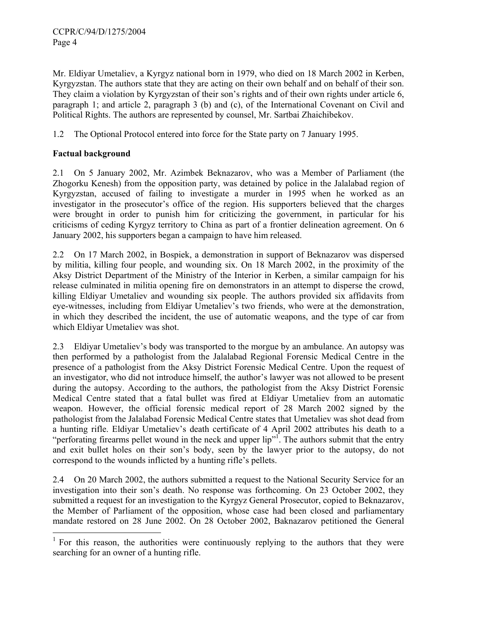Mr. Eldiyar Umetaliev, a Kyrgyz national born in 1979, who died on 18 March 2002 in Kerben, Kyrgyzstan. The authors state that they are acting on their own behalf and on behalf of their son. They claim a violation by Kyrgyzstan of their son's rights and of their own rights under article 6, paragraph 1; and article 2, paragraph 3 (b) and (c), of the International Covenant on Civil and Political Rights. The authors are represented by counsel, Mr. Sartbai Zhaichibekov.

1.2 The Optional Protocol entered into force for the State party on 7 January 1995.

# **Factual background**

2.1 On 5 January 2002, Mr. Azimbek Beknazarov, who was a Member of Parliament (the Zhogorku Kenesh) from the opposition party, was detained by police in the Jalalabad region of Kyrgyzstan, accused of failing to investigate a murder in 1995 when he worked as an investigator in the prosecutor's office of the region. His supporters believed that the charges were brought in order to punish him for criticizing the government, in particular for his criticisms of ceding Kyrgyz territory to China as part of a frontier delineation agreement. On 6 January 2002, his supporters began a campaign to have him released.

2.2 On 17 March 2002, in Bospiek, a demonstration in support of Beknazarov was dispersed by militia, killing four people, and wounding six. On 18 March 2002, in the proximity of the Aksy District Department of the Ministry of the Interior in Kerben, a similar campaign for his release culminated in militia opening fire on demonstrators in an attempt to disperse the crowd, killing Eldiyar Umetaliev and wounding six people. The authors provided six affidavits from eye-witnesses, including from Eldiyar Umetaliev's two friends, who were at the demonstration, in which they described the incident, the use of automatic weapons, and the type of car from which Eldiyar Umetaliev was shot.

2.3 Eldiyar Umetaliev's body was transported to the morgue by an ambulance. An autopsy was then performed by a pathologist from the Jalalabad Regional Forensic Medical Centre in the presence of a pathologist from the Aksy District Forensic Medical Centre. Upon the request of an investigator, who did not introduce himself, the author's lawyer was not allowed to be present during the autopsy. According to the authors, the pathologist from the Aksy District Forensic Medical Centre stated that a fatal bullet was fired at Eldiyar Umetaliev from an automatic weapon. However, the official forensic medical report of 28 March 2002 signed by the pathologist from the Jalalabad Forensic Medical Centre states that Umetaliev was shot dead from a hunting rifle. Eldiyar Umetaliev's death certificate of 4 April 2002 attributes his death to a "perforating firearms pellet wound in the neck and upper lip"<sup>1</sup>. The authors submit that the entry and exit bullet holes on their son's body, seen by the lawyer prior to the autopsy, do not correspond to the wounds inflicted by a hunting rifle's pellets.

2.4 On 20 March 2002, the authors submitted a request to the National Security Service for an investigation into their son's death. No response was forthcoming. On 23 October 2002, they submitted a request for an investigation to the Kyrgyz General Prosecutor, copied to Beknazarov, the Member of Parliament of the opposition, whose case had been closed and parliamentary mandate restored on 28 June 2002. On 28 October 2002, Baknazarov petitioned the General

<sup>&</sup>lt;sup>1</sup> For this reason, the authorities were continuously replying to the authors that they were searching for an owner of a hunting rifle.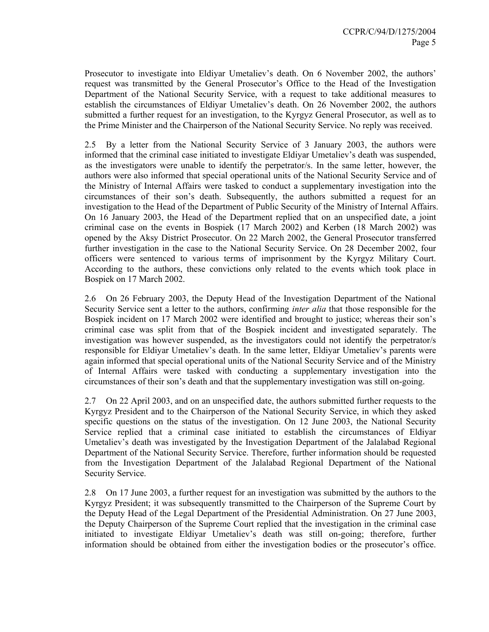Prosecutor to investigate into Eldiyar Umetaliev's death. On 6 November 2002, the authors' request was transmitted by the General Prosecutor's Office to the Head of the Investigation Department of the National Security Service, with a request to take additional measures to establish the circumstances of Eldiyar Umetaliev's death. On 26 November 2002, the authors submitted a further request for an investigation, to the Kyrgyz General Prosecutor, as well as to the Prime Minister and the Chairperson of the National Security Service. No reply was received.

2.5 By a letter from the National Security Service of 3 January 2003, the authors were informed that the criminal case initiated to investigate Eldiyar Umetaliev's death was suspended, as the investigators were unable to identify the perpetrator/s. In the same letter, however, the authors were also informed that special operational units of the National Security Service and of the Ministry of Internal Affairs were tasked to conduct a supplementary investigation into the circumstances of their son's death. Subsequently, the authors submitted a request for an investigation to the Head of the Department of Public Security of the Ministry of Internal Affairs. On 16 January 2003, the Head of the Department replied that on an unspecified date, a joint criminal case on the events in Bospiek (17 March 2002) and Kerben (18 March 2002) was opened by the Aksy District Prosecutor. On 22 March 2002, the General Prosecutor transferred further investigation in the case to the National Security Service. On 28 December 2002, four officers were sentenced to various terms of imprisonment by the Kyrgyz Military Court. According to the authors, these convictions only related to the events which took place in Bospiek on 17 March 2002.

2.6 On 26 February 2003, the Deputy Head of the Investigation Department of the National Security Service sent a letter to the authors, confirming *inter alia* that those responsible for the Bospiek incident on 17 March 2002 were identified and brought to justice; whereas their son's criminal case was split from that of the Bospiek incident and investigated separately. The investigation was however suspended, as the investigators could not identify the perpetrator/s responsible for Eldiyar Umetaliev's death. In the same letter, Eldiyar Umetaliev's parents were again informed that special operational units of the National Security Service and of the Ministry of Internal Affairs were tasked with conducting a supplementary investigation into the circumstances of their son's death and that the supplementary investigation was still on-going.

2.7 On 22 April 2003, and on an unspecified date, the authors submitted further requests to the Kyrgyz President and to the Chairperson of the National Security Service, in which they asked specific questions on the status of the investigation. On 12 June 2003, the National Security Service replied that a criminal case initiated to establish the circumstances of Eldiyar Umetaliev's death was investigated by the Investigation Department of the Jalalabad Regional Department of the National Security Service. Therefore, further information should be requested from the Investigation Department of the Jalalabad Regional Department of the National Security Service.

2.8 On 17 June 2003, a further request for an investigation was submitted by the authors to the Kyrgyz President; it was subsequently transmitted to the Chairperson of the Supreme Court by the Deputy Head of the Legal Department of the Presidential Administration. On 27 June 2003, the Deputy Chairperson of the Supreme Court replied that the investigation in the criminal case initiated to investigate Eldiyar Umetaliev's death was still on-going; therefore, further information should be obtained from either the investigation bodies or the prosecutor's office.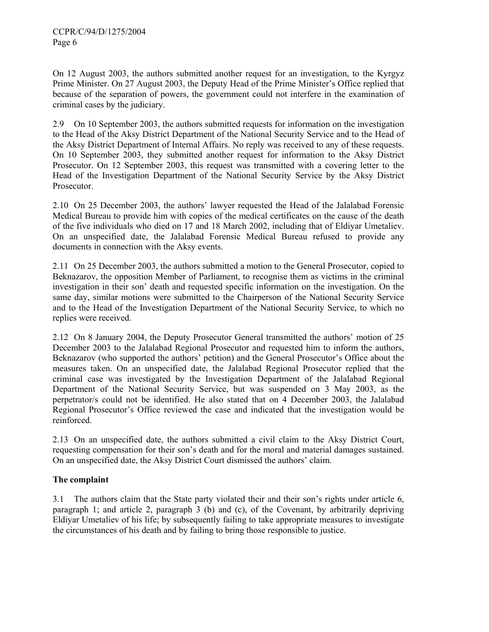On 12 August 2003, the authors submitted another request for an investigation, to the Kyrgyz Prime Minister. On 27 August 2003, the Deputy Head of the Prime Minister's Office replied that because of the separation of powers, the government could not interfere in the examination of criminal cases by the judiciary.

2.9 On 10 September 2003, the authors submitted requests for information on the investigation to the Head of the Aksy District Department of the National Security Service and to the Head of the Aksy District Department of Internal Affairs. No reply was received to any of these requests. On 10 September 2003, they submitted another request for information to the Aksy District Prosecutor. On 12 September 2003, this request was transmitted with a covering letter to the Head of the Investigation Department of the National Security Service by the Aksy District Prosecutor.

2.10 On 25 December 2003, the authors' lawyer requested the Head of the Jalalabad Forensic Medical Bureau to provide him with copies of the medical certificates on the cause of the death of the five individuals who died on 17 and 18 March 2002, including that of Eldiyar Umetaliev. On an unspecified date, the Jalalabad Forensic Medical Bureau refused to provide any documents in connection with the Aksy events.

2.11 On 25 December 2003, the authors submitted a motion to the General Prosecutor, copied to Beknazarov, the opposition Member of Parliament, to recognise them as victims in the criminal investigation in their son' death and requested specific information on the investigation. On the same day, similar motions were submitted to the Chairperson of the National Security Service and to the Head of the Investigation Department of the National Security Service, to which no replies were received.

2.12 On 8 January 2004, the Deputy Prosecutor General transmitted the authors' motion of 25 December 2003 to the Jalalabad Regional Prosecutor and requested him to inform the authors, Beknazarov (who supported the authors' petition) and the General Prosecutor's Office about the measures taken. On an unspecified date, the Jalalabad Regional Prosecutor replied that the criminal case was investigated by the Investigation Department of the Jalalabad Regional Department of the National Security Service, but was suspended on 3 May 2003, as the perpetrator/s could not be identified. He also stated that on 4 December 2003, the Jalalabad Regional Prosecutor's Office reviewed the case and indicated that the investigation would be reinforced.

2.13 On an unspecified date, the authors submitted a civil claim to the Aksy District Court, requesting compensation for their son's death and for the moral and material damages sustained. On an unspecified date, the Aksy District Court dismissed the authors' claim.

# **The complaint**

3.1 The authors claim that the State party violated their and their son's rights under article 6, paragraph 1; and article 2, paragraph 3 (b) and (c), of the Covenant, by arbitrarily depriving Eldiyar Umetaliev of his life; by subsequently failing to take appropriate measures to investigate the circumstances of his death and by failing to bring those responsible to justice.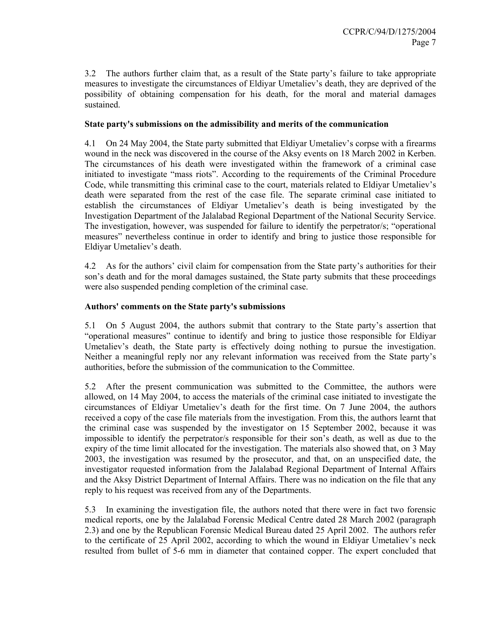3.2 The authors further claim that, as a result of the State party's failure to take appropriate measures to investigate the circumstances of Eldiyar Umetaliev's death, they are deprived of the possibility of obtaining compensation for his death, for the moral and material damages sustained.

#### **State party's submissions on the admissibility and merits of the communication**

4.1 On 24 May 2004, the State party submitted that Eldiyar Umetaliev's corpse with a firearms wound in the neck was discovered in the course of the Aksy events on 18 March 2002 in Kerben. The circumstances of his death were investigated within the framework of a criminal case initiated to investigate "mass riots". According to the requirements of the Criminal Procedure Code, while transmitting this criminal case to the court, materials related to Eldiyar Umetaliev's death were separated from the rest of the case file. The separate criminal case initiated to establish the circumstances of Eldiyar Umetaliev's death is being investigated by the Investigation Department of the Jalalabad Regional Department of the National Security Service. The investigation, however, was suspended for failure to identify the perpetrator/s; "operational measures" nevertheless continue in order to identify and bring to justice those responsible for Eldiyar Umetaliev's death.

4.2 As for the authors' civil claim for compensation from the State party's authorities for their son's death and for the moral damages sustained, the State party submits that these proceedings were also suspended pending completion of the criminal case.

## **Authors' comments on the State party's submissions**

5.1 On 5 August 2004, the authors submit that contrary to the State party's assertion that "operational measures" continue to identify and bring to justice those responsible for Eldiyar Umetaliev's death, the State party is effectively doing nothing to pursue the investigation. Neither a meaningful reply nor any relevant information was received from the State party's authorities, before the submission of the communication to the Committee.

5.2 After the present communication was submitted to the Committee, the authors were allowed, on 14 May 2004, to access the materials of the criminal case initiated to investigate the circumstances of Eldiyar Umetaliev's death for the first time. On 7 June 2004, the authors received a copy of the case file materials from the investigation. From this, the authors learnt that the criminal case was suspended by the investigator on 15 September 2002, because it was impossible to identify the perpetrator/s responsible for their son's death, as well as due to the expiry of the time limit allocated for the investigation. The materials also showed that, on 3 May 2003, the investigation was resumed by the prosecutor, and that, on an unspecified date, the investigator requested information from the Jalalabad Regional Department of Internal Affairs and the Aksy District Department of Internal Affairs. There was no indication on the file that any reply to his request was received from any of the Departments.

5.3 In examining the investigation file, the authors noted that there were in fact two forensic medical reports, one by the Jalalabad Forensic Medical Centre dated 28 March 2002 (paragraph 2.3) and one by the Republican Forensic Medical Bureau dated 25 April 2002. The authors refer to the certificate of 25 April 2002, according to which the wound in Eldiyar Umetaliev's neck resulted from bullet of 5-6 mm in diameter that contained copper. The expert concluded that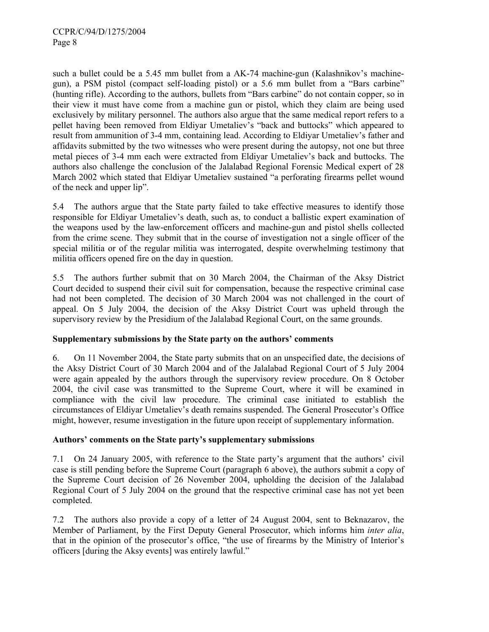such a bullet could be a 5.45 mm bullet from a AK-74 machine-gun (Kalashnikov's machinegun), a PSM pistol (compact self-loading pistol) or a 5.6 mm bullet from a "Bars carbine" (hunting rifle). According to the authors, bullets from "Bars carbine" do not contain copper, so in their view it must have come from a machine gun or pistol, which they claim are being used exclusively by military personnel. The authors also argue that the same medical report refers to a pellet having been removed from Eldiyar Umetaliev's "back and buttocks" which appeared to result from ammunition of 3-4 mm, containing lead. According to Eldiyar Umetaliev's father and affidavits submitted by the two witnesses who were present during the autopsy, not one but three metal pieces of 3-4 mm each were extracted from Eldiyar Umetaliev's back and buttocks. The authors also challenge the conclusion of the Jalalabad Regional Forensic Medical expert of 28 March 2002 which stated that Eldiyar Umetaliev sustained "a perforating firearms pellet wound of the neck and upper lip".

5.4 The authors argue that the State party failed to take effective measures to identify those responsible for Eldiyar Umetaliev's death, such as, to conduct a ballistic expert examination of the weapons used by the law-enforcement officers and machine-gun and pistol shells collected from the crime scene. They submit that in the course of investigation not a single officer of the special militia or of the regular militia was interrogated, despite overwhelming testimony that militia officers opened fire on the day in question.

5.5 The authors further submit that on 30 March 2004, the Chairman of the Aksy District Court decided to suspend their civil suit for compensation, because the respective criminal case had not been completed. The decision of 30 March 2004 was not challenged in the court of appeal. On 5 July 2004, the decision of the Aksy District Court was upheld through the supervisory review by the Presidium of the Jalalabad Regional Court, on the same grounds.

# **Supplementary submissions by the State party on the authors' comments**

6. On 11 November 2004, the State party submits that on an unspecified date, the decisions of the Aksy District Court of 30 March 2004 and of the Jalalabad Regional Court of 5 July 2004 were again appealed by the authors through the supervisory review procedure. On 8 October 2004, the civil case was transmitted to the Supreme Court, where it will be examined in compliance with the civil law procedure. The criminal case initiated to establish the circumstances of Eldiyar Umetaliev's death remains suspended. The General Prosecutor's Office might, however, resume investigation in the future upon receipt of supplementary information.

#### **Authors' comments on the State party's supplementary submissions**

7.1 On 24 January 2005, with reference to the State party's argument that the authors' civil case is still pending before the Supreme Court (paragraph 6 above), the authors submit a copy of the Supreme Court decision of 26 November 2004, upholding the decision of the Jalalabad Regional Court of 5 July 2004 on the ground that the respective criminal case has not yet been completed.

7.2 The authors also provide a copy of a letter of 24 August 2004, sent to Beknazarov, the Member of Parliament, by the First Deputy General Prosecutor, which informs him *inter alia*, that in the opinion of the prosecutor's office, "the use of firearms by the Ministry of Interior's officers [during the Aksy events] was entirely lawful."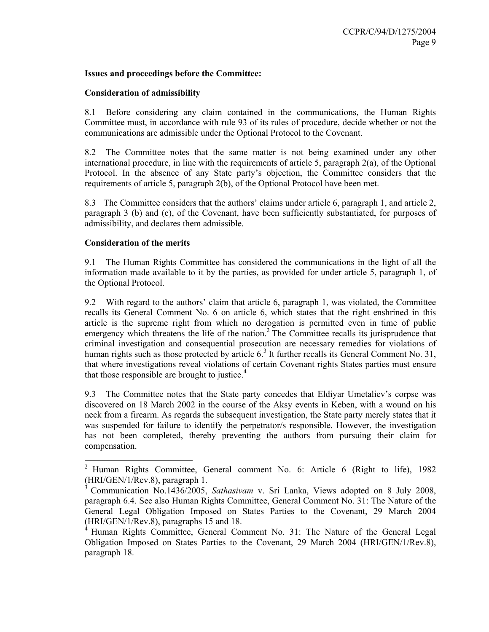#### **Issues and proceedings before the Committee:**

#### **Consideration of admissibility**

8.1 Before considering any claim contained in the communications, the Human Rights Committee must, in accordance with rule 93 of its rules of procedure, decide whether or not the communications are admissible under the Optional Protocol to the Covenant.

8.2 The Committee notes that the same matter is not being examined under any other international procedure, in line with the requirements of article 5, paragraph  $2(a)$ , of the Optional Protocol. In the absence of any State party's objection, the Committee considers that the requirements of article 5, paragraph 2(b), of the Optional Protocol have been met.

8.3 The Committee considers that the authors' claims under article 6, paragraph 1, and article 2, paragraph 3 (b) and (c), of the Covenant, have been sufficiently substantiated, for purposes of admissibility, and declares them admissible.

# **Consideration of the merits**

 $\overline{a}$ 

9.1 The Human Rights Committee has considered the communications in the light of all the information made available to it by the parties, as provided for under article 5, paragraph 1, of the Optional Protocol.

9.2 With regard to the authors' claim that article 6, paragraph 1, was violated, the Committee recalls its General Comment No. 6 on article 6, which states that the right enshrined in this article is the supreme right from which no derogation is permitted even in time of public emergency which threatens the life of the nation.<sup>2</sup> The Committee recalls its jurisprudence that criminal investigation and consequential prosecution are necessary remedies for violations of human rights such as those protected by article  $6<sup>3</sup>$  It further recalls its General Comment No. 31, that where investigations reveal violations of certain Covenant rights States parties must ensure that those responsible are brought to justice.<sup>4</sup>

9.3 The Committee notes that the State party concedes that Eldiyar Umetaliev's corpse was discovered on 18 March 2002 in the course of the Aksy events in Keben, with a wound on his neck from a firearm. As regards the subsequent investigation, the State party merely states that it was suspended for failure to identify the perpetrator/s responsible. However, the investigation has not been completed, thereby preventing the authors from pursuing their claim for compensation.

<sup>2</sup> Human Rights Committee, General comment No. 6: Article 6 (Right to life), 1982 (HRI/GEN/1/Rev.8), paragraph 1.

<sup>3</sup> Communication No.1436/2005, *Sathasivam* v. Sri Lanka, Views adopted on 8 July 2008, paragraph 6.4. See also Human Rights Committee, General Comment No. 31: The Nature of the General Legal Obligation Imposed on States Parties to the Covenant, 29 March 2004 (HRI/GEN/1/Rev.8), paragraphs 15 and 18.

<sup>&</sup>lt;sup>4</sup> Human Rights Committee, General Comment No. 31: The Nature of the General Legal Obligation Imposed on States Parties to the Covenant, 29 March 2004 (HRI/GEN/1/Rev.8), paragraph 18.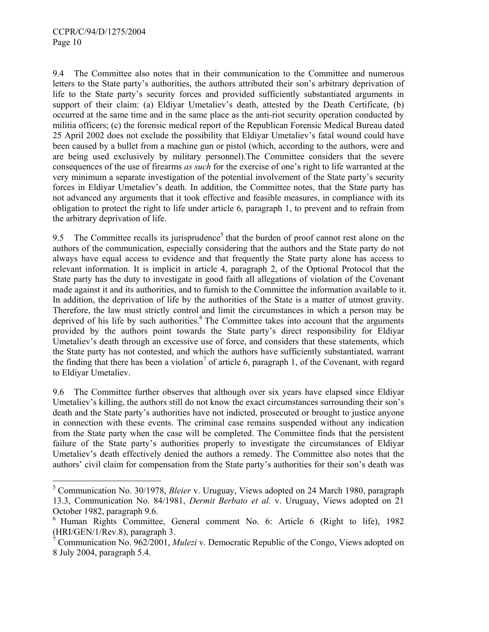$\overline{a}$ 

9.4 The Committee also notes that in their communication to the Committee and numerous letters to the State party's authorities, the authors attributed their son's arbitrary deprivation of life to the State party's security forces and provided sufficiently substantiated arguments in support of their claim: (a) Eldiyar Umetaliev's death, attested by the Death Certificate, (b) occurred at the same time and in the same place as the anti-riot security operation conducted by militia officers; (c) the forensic medical report of the Republican Forensic Medical Bureau dated 25 April 2002 does not exclude the possibility that Eldiyar Umetaliev's fatal wound could have been caused by a bullet from a machine gun or pistol (which, according to the authors, were and are being used exclusively by military personnel).The Committee considers that the severe consequences of the use of firearms *as such* for the exercise of one's right to life warranted at the very minimum a separate investigation of the potential involvement of the State party's security forces in Eldiyar Umetaliev's death. In addition, the Committee notes, that the State party has not advanced any arguments that it took effective and feasible measures, in compliance with its obligation to protect the right to life under article 6, paragraph 1, to prevent and to refrain from the arbitrary deprivation of life.

9.5 The Committee recalls its jurisprudence<sup>5</sup> that the burden of proof cannot rest alone on the authors of the communication, especially considering that the authors and the State party do not always have equal access to evidence and that frequently the State party alone has access to relevant information. It is implicit in article 4, paragraph 2, of the Optional Protocol that the State party has the duty to investigate in good faith all allegations of violation of the Covenant made against it and its authorities, and to furnish to the Committee the information available to it. In addition, the deprivation of life by the authorities of the State is a matter of utmost gravity. Therefore, the law must strictly control and limit the circumstances in which a person may be deprived of his life by such authorities.<sup>6</sup> The Committee takes into account that the arguments provided by the authors point towards the State party's direct responsibility for Eldiyar Umetaliev's death through an excessive use of force, and considers that these statements, which the State party has not contested, and which the authors have sufficiently substantiated, warrant the finding that there has been a violation<sup>7</sup> of article 6, paragraph 1, of the Covenant, with regard to Eldiyar Umetaliev.

9.6 The Committee further observes that although over six years have elapsed since Eldiyar Umetaliev's killing, the authors still do not know the exact circumstances surrounding their son's death and the State party's authorities have not indicted, prosecuted or brought to justice anyone in connection with these events. The criminal case remains suspended without any indication from the State party when the case will be completed. The Committee finds that the persistent failure of the State party's authorities properly to investigate the circumstances of Eldiyar Umetaliev's death effectively denied the authors a remedy. The Committee also notes that the authors' civil claim for compensation from the State party's authorities for their son's death was

<sup>5</sup> Communication No. 30/1978, *Bleier* v. Uruguay, Views adopted on 24 March 1980, paragraph 13.3, Communication No. 84/1981, *Dermit Berbato et al.* v. Uruguay, Views adopted on 21 October 1982, paragraph 9.6.

 $6$  Human Rights Committee, General comment No. 6: Article 6 (Right to life), 1982 (HRI/GEN/1/Rev.8), paragraph 3.

<sup>7</sup> Communication No. 962/2001, *Mulezi* v. Democratic Republic of the Congo, Views adopted on 8 July 2004, paragraph 5.4.